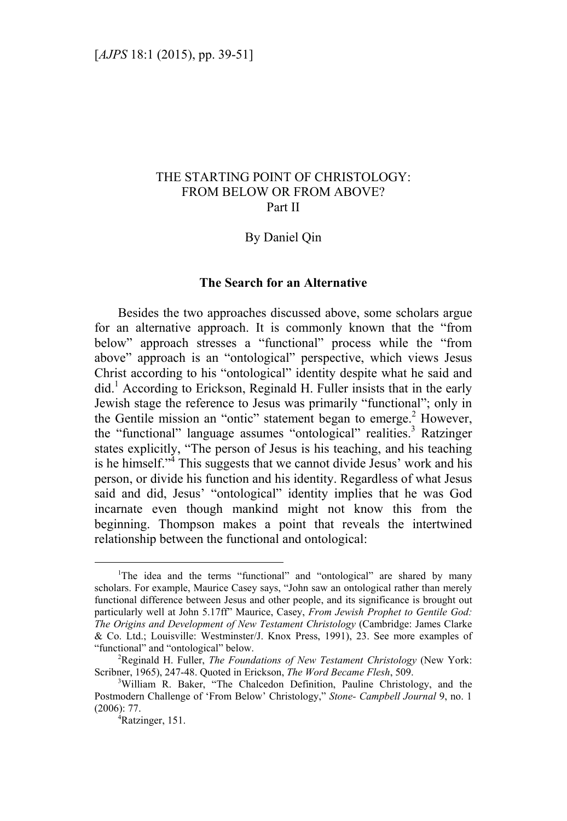# THE STARTING POINT OF CHRISTOLOGY: FROM BELOW OR FROM ABOVE? Part II

### By Daniel Qin

#### **The Search for an Alternative**

Besides the two approaches discussed above, some scholars argue for an alternative approach. It is commonly known that the "from below" approach stresses a "functional" process while the "from above" approach is an "ontological" perspective, which views Jesus Christ according to his "ontological" identity despite what he said and did.<sup>1</sup> According to Erickson, Reginald H. Fuller insists that in the early Jewish stage the reference to Jesus was primarily "functional"; only in the Gentile mission an "ontic" statement began to emerge.<sup>2</sup> However, the "functional" language assumes "ontological" realities.<sup>3</sup> Ratzinger states explicitly, "The person of Jesus is his teaching, and his teaching is he himself."<sup>4</sup> This suggests that we cannot divide Jesus' work and his person, or divide his function and his identity. Regardless of what Jesus said and did, Jesus' "ontological" identity implies that he was God incarnate even though mankind might not know this from the beginning. Thompson makes a point that reveals the intertwined relationship between the functional and ontological:

 $\frac{1}{1}$ <sup>1</sup>The idea and the terms "functional" and "ontological" are shared by many scholars. For example, Maurice Casey says, "John saw an ontological rather than merely functional difference between Jesus and other people, and its significance is brought out particularly well at John 5.17ff" Maurice, Casey, *From Jewish Prophet to Gentile God: The Origins and Development of New Testament Christology* (Cambridge: James Clarke & Co. Ltd.; Louisville: Westminster/J. Knox Press, 1991), 23. See more examples of "functional" and "ontological" below. 2

Reginald H. Fuller, *The Foundations of New Testament Christology* (New York: Scribner, 1965), 247-48. Quoted in Erickson, *The Word Became Flesh*, 509.

<sup>&</sup>lt;sup>3</sup>William R. Baker, "The Chalcedon Definition, Pauline Christology, and the Postmodern Challenge of 'From Below' Christology," *Stone- Campbell Journal* 9, no. 1 (2006): 77. 4

Ratzinger, 151.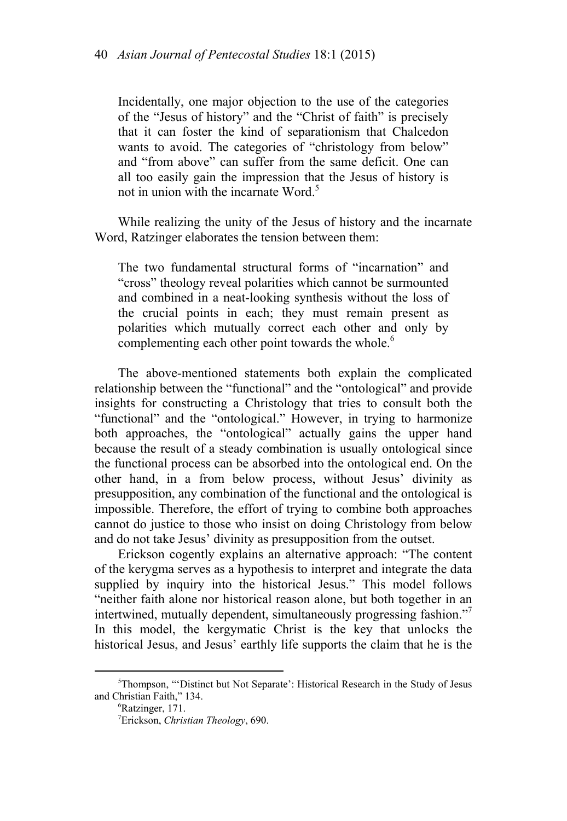Incidentally, one major objection to the use of the categories of the "Jesus of history" and the "Christ of faith" is precisely that it can foster the kind of separationism that Chalcedon wants to avoid. The categories of "christology from below" and "from above" can suffer from the same deficit. One can all too easily gain the impression that the Jesus of history is not in union with the incarnate Word<sup>5</sup>

While realizing the unity of the Jesus of history and the incarnate Word, Ratzinger elaborates the tension between them:

The two fundamental structural forms of "incarnation" and "cross" theology reveal polarities which cannot be surmounted and combined in a neat-looking synthesis without the loss of the crucial points in each; they must remain present as polarities which mutually correct each other and only by complementing each other point towards the whole.<sup>6</sup>

The above-mentioned statements both explain the complicated relationship between the "functional" and the "ontological" and provide insights for constructing a Christology that tries to consult both the "functional" and the "ontological." However, in trying to harmonize both approaches, the "ontological" actually gains the upper hand because the result of a steady combination is usually ontological since the functional process can be absorbed into the ontological end. On the other hand, in a from below process, without Jesus' divinity as presupposition, any combination of the functional and the ontological is impossible. Therefore, the effort of trying to combine both approaches cannot do justice to those who insist on doing Christology from below and do not take Jesus' divinity as presupposition from the outset.

Erickson cogently explains an alternative approach: "The content of the kerygma serves as a hypothesis to interpret and integrate the data supplied by inquiry into the historical Jesus." This model follows "neither faith alone nor historical reason alone, but both together in an intertwined, mutually dependent, simultaneously progressing fashion."7 In this model, the kergymatic Christ is the key that unlocks the historical Jesus, and Jesus' earthly life supports the claim that he is the

 $\frac{1}{5}$ <sup>5</sup>Thompson, "'Distinct but Not Separate': Historical Research in the Study of Jesus and Christian Faith," 134.

Ratzinger, 171.

<sup>7</sup> Erickson, *Christian Theology*, 690.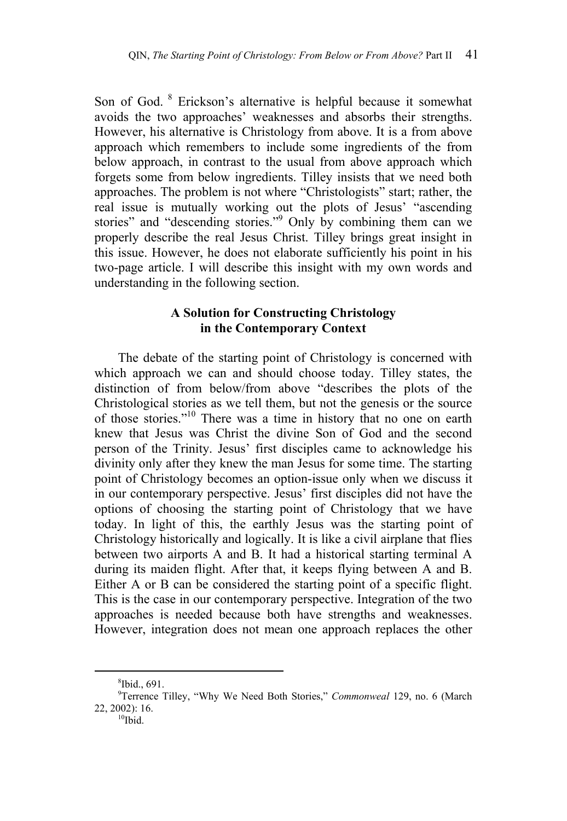Son of God. <sup>8</sup> Erickson's alternative is helpful because it somewhat avoids the two approaches' weaknesses and absorbs their strengths. However, his alternative is Christology from above. It is a from above approach which remembers to include some ingredients of the from below approach, in contrast to the usual from above approach which forgets some from below ingredients. Tilley insists that we need both approaches. The problem is not where "Christologists" start; rather, the real issue is mutually working out the plots of Jesus' "ascending stories" and "descending stories."<sup>9</sup> Only by combining them can we properly describe the real Jesus Christ. Tilley brings great insight in this issue. However, he does not elaborate sufficiently his point in his two-page article. I will describe this insight with my own words and understanding in the following section.

## **A Solution for Constructing Christology in the Contemporary Context**

The debate of the starting point of Christology is concerned with which approach we can and should choose today. Tilley states, the distinction of from below/from above "describes the plots of the Christological stories as we tell them, but not the genesis or the source of those stories."10 There was a time in history that no one on earth knew that Jesus was Christ the divine Son of God and the second person of the Trinity. Jesus' first disciples came to acknowledge his divinity only after they knew the man Jesus for some time. The starting point of Christology becomes an option-issue only when we discuss it in our contemporary perspective. Jesus' first disciples did not have the options of choosing the starting point of Christology that we have today. In light of this, the earthly Jesus was the starting point of Christology historically and logically. It is like a civil airplane that flies between two airports A and B. It had a historical starting terminal A during its maiden flight. After that, it keeps flying between A and B. Either A or B can be considered the starting point of a specific flight. This is the case in our contemporary perspective. Integration of the two approaches is needed because both have strengths and weaknesses. However, integration does not mean one approach replaces the other

 $\frac{1}{8}$  $$Ibid., 691.$ 

<sup>9</sup> Terrence Tilley, "Why We Need Both Stories," *Commonweal* 129, no. 6 (March 22, 2002): 16.<br> $10^{10}$ Ibid.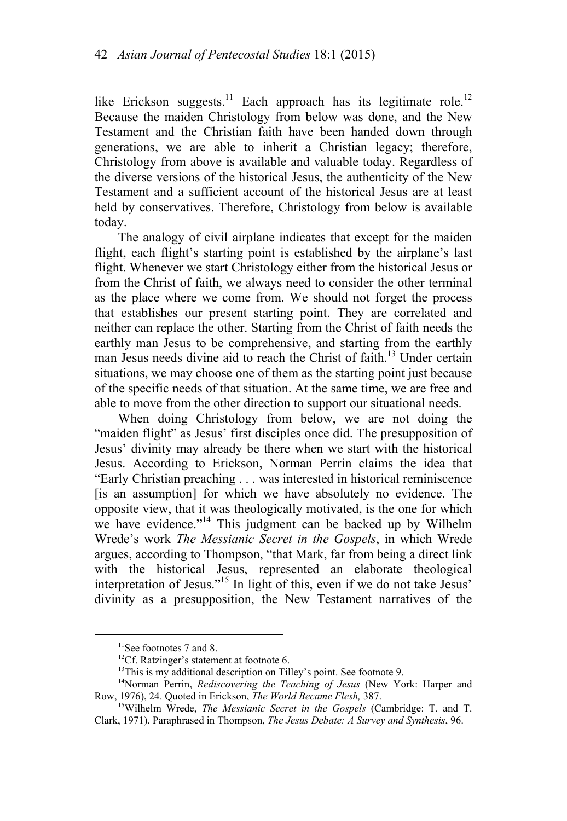like Erickson suggests.<sup>11</sup> Each approach has its legitimate role.<sup>12</sup> Because the maiden Christology from below was done, and the New Testament and the Christian faith have been handed down through generations, we are able to inherit a Christian legacy; therefore, Christology from above is available and valuable today. Regardless of the diverse versions of the historical Jesus, the authenticity of the New Testament and a sufficient account of the historical Jesus are at least held by conservatives. Therefore, Christology from below is available today.

The analogy of civil airplane indicates that except for the maiden flight, each flight's starting point is established by the airplane's last flight. Whenever we start Christology either from the historical Jesus or from the Christ of faith, we always need to consider the other terminal as the place where we come from. We should not forget the process that establishes our present starting point. They are correlated and neither can replace the other. Starting from the Christ of faith needs the earthly man Jesus to be comprehensive, and starting from the earthly man Jesus needs divine aid to reach the Christ of faith.<sup>13</sup> Under certain situations, we may choose one of them as the starting point just because of the specific needs of that situation. At the same time, we are free and able to move from the other direction to support our situational needs.

When doing Christology from below, we are not doing the "maiden flight" as Jesus' first disciples once did. The presupposition of Jesus' divinity may already be there when we start with the historical Jesus. According to Erickson, Norman Perrin claims the idea that "Early Christian preaching . . . was interested in historical reminiscence [is an assumption] for which we have absolutely no evidence. The opposite view, that it was theologically motivated, is the one for which we have evidence."<sup>14</sup> This judgment can be backed up by Wilhelm Wrede's work *The Messianic Secret in the Gospels*, in which Wrede argues, according to Thompson, "that Mark, far from being a direct link with the historical Jesus, represented an elaborate theological interpretation of Jesus."15 In light of this, even if we do not take Jesus' divinity as a presupposition, the New Testament narratives of the

<sup>&</sup>lt;sup>11</sup>See footnotes 7 and 8.

<sup>&</sup>lt;sup>12</sup>Cf. Ratzinger's statement at footnote 6.<br><sup>13</sup>This is my additional description on Tilley's point. See footnote 9.

<sup>&</sup>lt;sup>14</sup>Norman Perrin, *Rediscovering the Teaching of Jesus* (New York: Harper and Row, 1976), 24. Quoted in Erickson, *The World Became Flesh*, 387.<br><sup>15</sup>Wilhelm Wrede, *The Messianic Secret in the Gospels* (Cambridge: T. and T.

Clark, 1971). Paraphrased in Thompson, *The Jesus Debate: A Survey and Synthesis*, 96.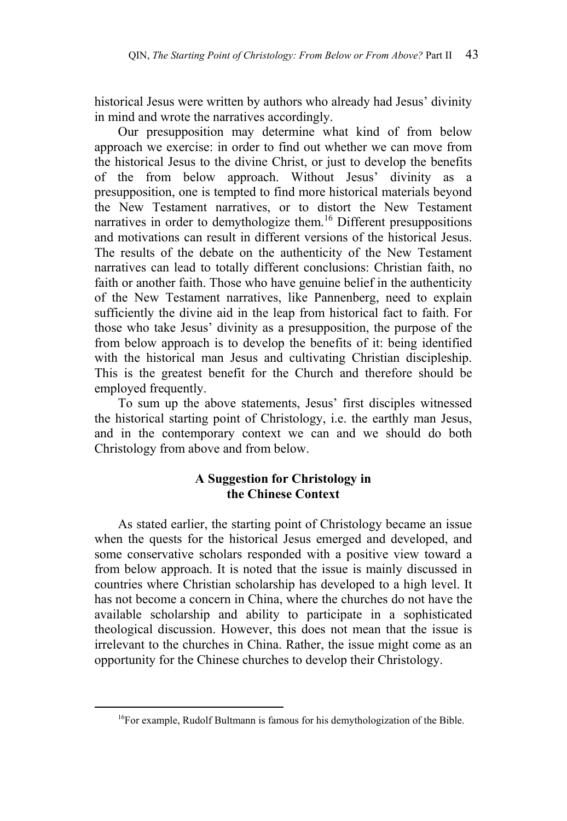historical Jesus were written by authors who already had Jesus' divinity in mind and wrote the narratives accordingly.

Our presupposition may determine what kind of from below approach we exercise: in order to find out whether we can move from the historical Jesus to the divine Christ, or just to develop the benefits of the from below approach. Without Jesus' divinity as a presupposition, one is tempted to find more historical materials beyond the New Testament narratives, or to distort the New Testament narratives in order to demythologize them.<sup>16</sup> Different presuppositions and motivations can result in different versions of the historical Jesus. The results of the debate on the authenticity of the New Testament narratives can lead to totally different conclusions: Christian faith, no faith or another faith. Those who have genuine belief in the authenticity of the New Testament narratives, like Pannenberg, need to explain sufficiently the divine aid in the leap from historical fact to faith. For those who take Jesus' divinity as a presupposition, the purpose of the from below approach is to develop the benefits of it: being identified with the historical man Jesus and cultivating Christian discipleship. This is the greatest benefit for the Church and therefore should be employed frequently.

To sum up the above statements, Jesus' first disciples witnessed the historical starting point of Christology, i.e. the earthly man Jesus, and in the contemporary context we can and we should do both Christology from above and from below.

# **A Suggestion for Christology in the Chinese Context**

As stated earlier, the starting point of Christology became an issue when the quests for the historical Jesus emerged and developed, and some conservative scholars responded with a positive view toward a from below approach. It is noted that the issue is mainly discussed in countries where Christian scholarship has developed to a high level. It has not become a concern in China, where the churches do not have the available scholarship and ability to participate in a sophisticated theological discussion. However, this does not mean that the issue is irrelevant to the churches in China. Rather, the issue might come as an opportunity for the Chinese churches to develop their Christology.

<sup>&</sup>lt;sup>16</sup>For example, Rudolf Bultmann is famous for his demythologization of the Bible.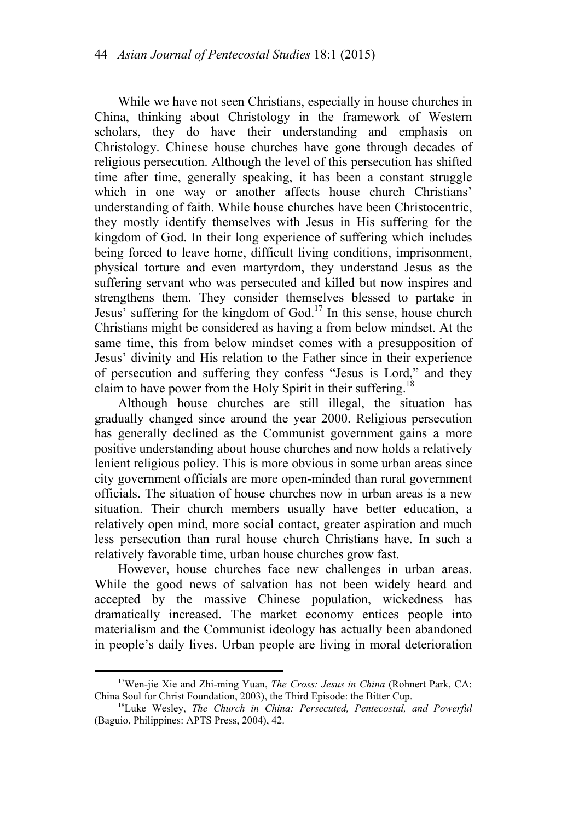While we have not seen Christians, especially in house churches in China, thinking about Christology in the framework of Western scholars, they do have their understanding and emphasis on Christology. Chinese house churches have gone through decades of religious persecution. Although the level of this persecution has shifted time after time, generally speaking, it has been a constant struggle which in one way or another affects house church Christians' understanding of faith. While house churches have been Christocentric, they mostly identify themselves with Jesus in His suffering for the kingdom of God. In their long experience of suffering which includes being forced to leave home, difficult living conditions, imprisonment, physical torture and even martyrdom, they understand Jesus as the suffering servant who was persecuted and killed but now inspires and strengthens them. They consider themselves blessed to partake in Jesus' suffering for the kingdom of God.<sup>17</sup> In this sense, house church Christians might be considered as having a from below mindset. At the same time, this from below mindset comes with a presupposition of Jesus' divinity and His relation to the Father since in their experience of persecution and suffering they confess "Jesus is Lord," and they claim to have power from the Holy Spirit in their suffering.<sup>18</sup>

Although house churches are still illegal, the situation has gradually changed since around the year 2000. Religious persecution has generally declined as the Communist government gains a more positive understanding about house churches and now holds a relatively lenient religious policy. This is more obvious in some urban areas since city government officials are more open-minded than rural government officials. The situation of house churches now in urban areas is a new situation. Their church members usually have better education, a relatively open mind, more social contact, greater aspiration and much less persecution than rural house church Christians have. In such a relatively favorable time, urban house churches grow fast.

However, house churches face new challenges in urban areas. While the good news of salvation has not been widely heard and accepted by the massive Chinese population, wickedness has dramatically increased. The market economy entices people into materialism and the Communist ideology has actually been abandoned in people's daily lives. Urban people are living in moral deterioration

<sup>&</sup>lt;sup>17</sup>Wen-jie Xie and Zhi-ming Yuan, *The Cross: Jesus in China* (Rohnert Park, CA: China Soul for Christ Foundation, 2003), the Third Episode: the Bitter Cup.

<sup>&</sup>lt;sup>18</sup>Luke Wesley, The Church in China: Persecuted, Pentecostal, and Powerful (Baguio, Philippines: APTS Press, 2004), 42.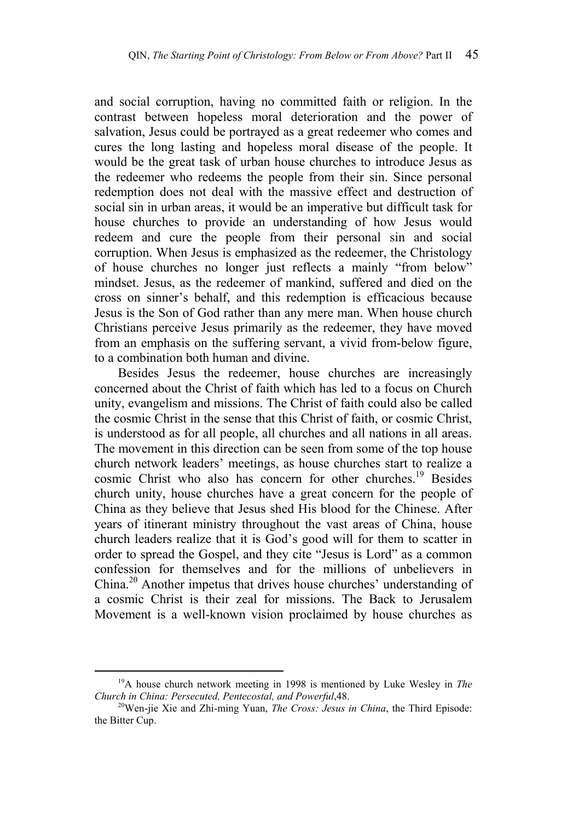and social corruption, having no committed faith or religion. In the contrast between hopeless moral deterioration and the power of salvation, Jesus could be portrayed as a great redeemer who comes and cures the long lasting and hopeless moral disease of the people. It would be the great task of urban house churches to introduce Jesus as the redeemer who redeems the people from their sin. Since personal redemption does not deal with the massive effect and destruction of social sin in urban areas, it would be an imperative but difficult task for house churches to provide an understanding of how Jesus would redeem and cure the people from their personal sin and social corruption. When Jesus is emphasized as the redeemer, the Christology of house churches no longer just reflects a mainly "from below" mindset. Jesus, as the redeemer of mankind, suffered and died on the cross on sinner's behalf, and this redemption is efficacious because Jesus is the Son of God rather than any mere man. When house church Christians perceive Jesus primarily as the redeemer, they have moved from an emphasis on the suffering servant, a vivid from-below figure, to a combination both human and divine.

Besides Jesus the redeemer, house churches are increasingly concerned about the Christ of faith which has led to a focus on Church unity, evangelism and missions. The Christ of faith could also be called the cosmic Christ in the sense that this Christ of faith, or cosmic Christ, is understood as for all people, all churches and all nations in all areas. The movement in this direction can be seen from some of the top house church network leaders' meetings, as house churches start to realize a cosmic Christ who also has concern for other churches.<sup>19</sup> Besides church unity, house churches have a great concern for the people of China as they believe that Jesus shed His blood for the Chinese. After years of itinerant ministry throughout the vast areas of China, house church leaders realize that it is God's good will for them to scatter in order to spread the Gospel, and they cite "Jesus is Lord" as a common confession for themselves and for the millions of unbelievers in China.<sup>20</sup> Another impetus that drives house churches' understanding of a cosmic Christ is their zeal for missions. The Back to Jerusalem Movement is a well-known vision proclaimed by house churches as

 <sup>19</sup>A house church network meeting in 1998 is mentioned by Luke Wesley in *The Church in China: Persecuted, Pentecostal, and Powerful,48.* <sup>20</sup>Wen-jie Xie and Zhi-ming Yuan, *The Cross: Jesus in China*, the Third Episode:

the Bitter Cup.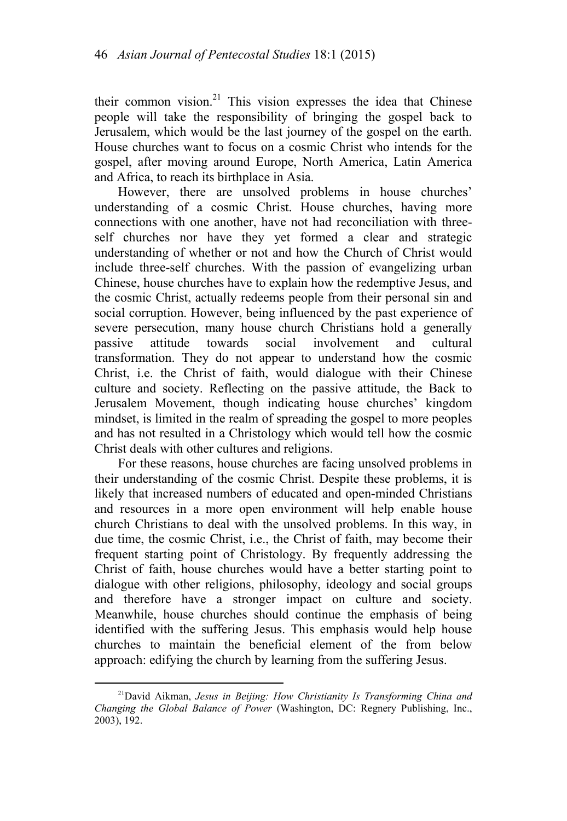their common vision.<sup>21</sup> This vision expresses the idea that Chinese people will take the responsibility of bringing the gospel back to Jerusalem, which would be the last journey of the gospel on the earth. House churches want to focus on a cosmic Christ who intends for the gospel, after moving around Europe, North America, Latin America and Africa, to reach its birthplace in Asia.

However, there are unsolved problems in house churches' understanding of a cosmic Christ. House churches, having more connections with one another, have not had reconciliation with threeself churches nor have they yet formed a clear and strategic understanding of whether or not and how the Church of Christ would include three-self churches. With the passion of evangelizing urban Chinese, house churches have to explain how the redemptive Jesus, and the cosmic Christ, actually redeems people from their personal sin and social corruption. However, being influenced by the past experience of severe persecution, many house church Christians hold a generally passive attitude towards social involvement and cultural transformation. They do not appear to understand how the cosmic Christ, i.e. the Christ of faith, would dialogue with their Chinese culture and society. Reflecting on the passive attitude, the Back to Jerusalem Movement, though indicating house churches' kingdom mindset, is limited in the realm of spreading the gospel to more peoples and has not resulted in a Christology which would tell how the cosmic Christ deals with other cultures and religions.

For these reasons, house churches are facing unsolved problems in their understanding of the cosmic Christ. Despite these problems, it is likely that increased numbers of educated and open-minded Christians and resources in a more open environment will help enable house church Christians to deal with the unsolved problems. In this way, in due time, the cosmic Christ, i.e., the Christ of faith, may become their frequent starting point of Christology. By frequently addressing the Christ of faith, house churches would have a better starting point to dialogue with other religions, philosophy, ideology and social groups and therefore have a stronger impact on culture and society. Meanwhile, house churches should continue the emphasis of being identified with the suffering Jesus. This emphasis would help house churches to maintain the beneficial element of the from below approach: edifying the church by learning from the suffering Jesus.

 <sup>21</sup>David Aikman, *Jesus in Beijing: How Christianity Is Transforming China and Changing the Global Balance of Power* (Washington, DC: Regnery Publishing, Inc., 2003), 192.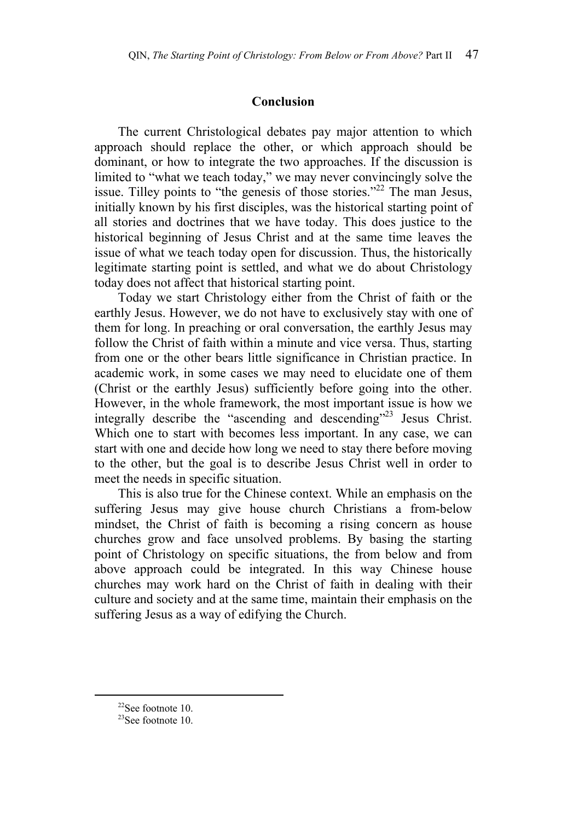#### **Conclusion**

The current Christological debates pay major attention to which approach should replace the other, or which approach should be dominant, or how to integrate the two approaches. If the discussion is limited to "what we teach today," we may never convincingly solve the issue. Tilley points to "the genesis of those stories."<sup>22</sup> The man Jesus, initially known by his first disciples, was the historical starting point of all stories and doctrines that we have today. This does justice to the historical beginning of Jesus Christ and at the same time leaves the issue of what we teach today open for discussion. Thus, the historically legitimate starting point is settled, and what we do about Christology today does not affect that historical starting point.

Today we start Christology either from the Christ of faith or the earthly Jesus. However, we do not have to exclusively stay with one of them for long. In preaching or oral conversation, the earthly Jesus may follow the Christ of faith within a minute and vice versa. Thus, starting from one or the other bears little significance in Christian practice. In academic work, in some cases we may need to elucidate one of them (Christ or the earthly Jesus) sufficiently before going into the other. However, in the whole framework, the most important issue is how we integrally describe the "ascending and descending"<sup>23</sup> Jesus Christ. Which one to start with becomes less important. In any case, we can start with one and decide how long we need to stay there before moving to the other, but the goal is to describe Jesus Christ well in order to meet the needs in specific situation.

This is also true for the Chinese context. While an emphasis on the suffering Jesus may give house church Christians a from-below mindset, the Christ of faith is becoming a rising concern as house churches grow and face unsolved problems. By basing the starting point of Christology on specific situations, the from below and from above approach could be integrated. In this way Chinese house churches may work hard on the Christ of faith in dealing with their culture and society and at the same time, maintain their emphasis on the suffering Jesus as a way of edifying the Church.

 <sup>22</sup>See footnote 10.

<sup>23</sup>See footnote 10.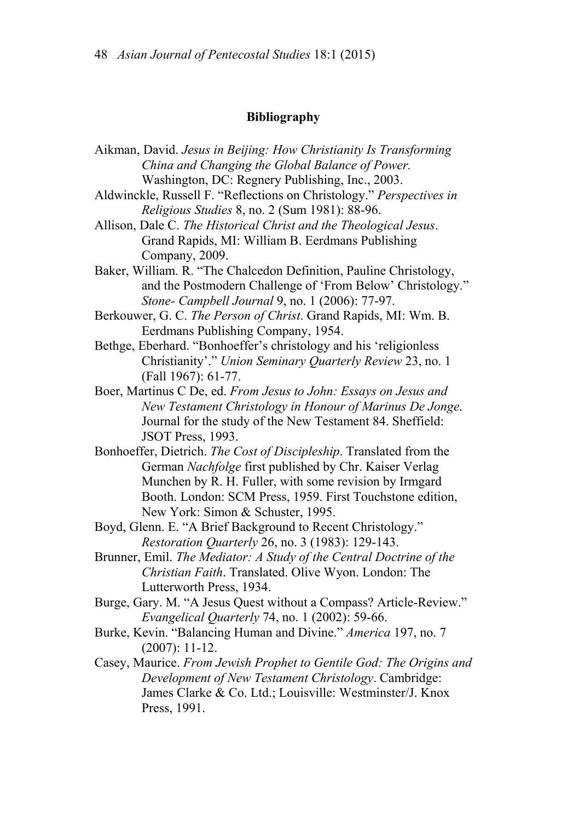### **Bibliography**

- Aikman, David. *Jesus in Beijing: How Christianity Is Transforming China and Changing the Global Balance of Power.* Washington, DC: Regnery Publishing, Inc., 2003.
- Aldwinckle, Russell F. "Reflections on Christology." *Perspectives in Religious Studies* 8, no. 2 (Sum 1981): 88-96.
- Allison, Dale C. *The Historical Christ and the Theological Jesus*. Grand Rapids, MI: William B. Eerdmans Publishing Company, 2009.
- Baker, William. R. "The Chalcedon Definition, Pauline Christology, and the Postmodern Challenge of 'From Below' Christology." *Stone- Campbell Journal* 9, no. 1 (2006): 77-97.
- Berkouwer, G. C. *The Person of Christ*. Grand Rapids, MI: Wm. B. Eerdmans Publishing Company, 1954.
- Bethge, Eberhard. "Bonhoeffer's christology and his 'religionless Christianity'." *Union Seminary Quarterly Review* 23, no. 1 (Fall 1967): 61-77.
- Boer, Martinus C De, ed. *From Jesus to John: Essays on Jesus and New Testament Christology in Honour of Marinus De Jonge*. Journal for the study of the New Testament 84. Sheffield: JSOT Press, 1993.
- Bonhoeffer, Dietrich. *The Cost of Discipleship*. Translated from the German *Nachfolge* first published by Chr. Kaiser Verlag Munchen by R. H. Fuller, with some revision by Irmgard Booth. London: SCM Press, 1959. First Touchstone edition, New York: Simon & Schuster, 1995.
- Boyd, Glenn. E. "A Brief Background to Recent Christology." *Restoration Quarterly* 26, no. 3 (1983): 129-143.
- Brunner, Emil. *The Mediator: A Study of the Central Doctrine of the Christian Faith*. Translated. Olive Wyon. London: The Lutterworth Press, 1934.
- Burge, Gary. M. "A Jesus Quest without a Compass? Article-Review." *Evangelical Quarterly* 74, no. 1 (2002): 59-66.
- Burke, Kevin. "Balancing Human and Divine." *America* 197, no. 7 (2007): 11-12.
- Casey, Maurice. *From Jewish Prophet to Gentile God: The Origins and Development of New Testament Christology*. Cambridge: James Clarke & Co. Ltd.; Louisville: Westminster/J. Knox Press, 1991.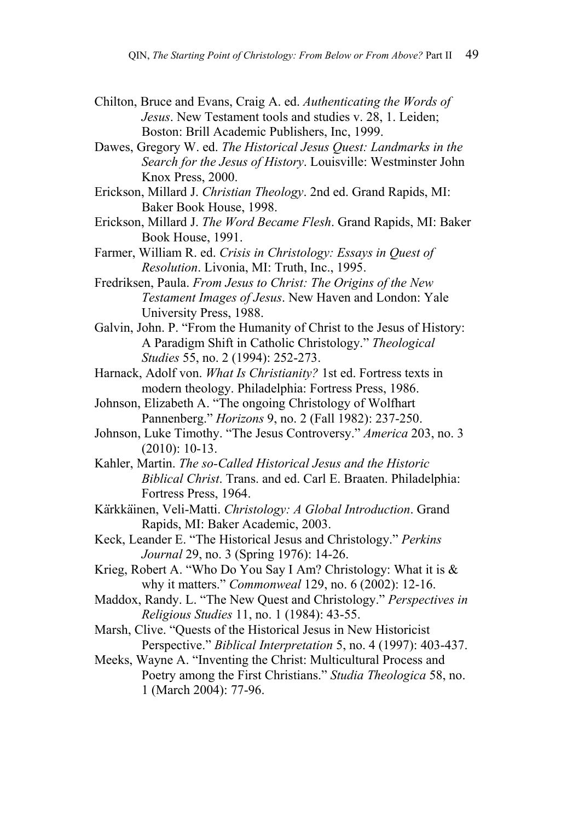- Chilton, Bruce and Evans, Craig A. ed. *Authenticating the Words of Jesus*. New Testament tools and studies v. 28, 1. Leiden; Boston: Brill Academic Publishers, Inc, 1999.
- Dawes, Gregory W. ed. *The Historical Jesus Quest: Landmarks in the Search for the Jesus of History*. Louisville: Westminster John Knox Press, 2000.
- Erickson, Millard J. *Christian Theology*. 2nd ed. Grand Rapids, MI: Baker Book House, 1998.
- Erickson, Millard J. *The Word Became Flesh*. Grand Rapids, MI: Baker Book House, 1991.
- Farmer, William R. ed. *Crisis in Christology: Essays in Quest of Resolution*. Livonia, MI: Truth, Inc., 1995.
- Fredriksen, Paula. *From Jesus to Christ: The Origins of the New Testament Images of Jesus*. New Haven and London: Yale University Press, 1988.
- Galvin, John. P. "From the Humanity of Christ to the Jesus of History: A Paradigm Shift in Catholic Christology." *Theological Studies* 55, no. 2 (1994): 252-273.
- Harnack, Adolf von. *What Is Christianity?* 1st ed. Fortress texts in modern theology. Philadelphia: Fortress Press, 1986.
- Johnson, Elizabeth A. "The ongoing Christology of Wolfhart Pannenberg." *Horizons* 9, no. 2 (Fall 1982): 237-250.
- Johnson, Luke Timothy. "The Jesus Controversy." *America* 203, no. 3 (2010): 10-13.
- Kahler, Martin. *The so-Called Historical Jesus and the Historic Biblical Christ*. Trans. and ed. Carl E. Braaten. Philadelphia: Fortress Press, 1964.
- Kärkkäinen, Veli-Matti. *Christology: A Global Introduction*. Grand Rapids, MI: Baker Academic, 2003.
- Keck, Leander E. "The Historical Jesus and Christology." *Perkins Journal* 29, no. 3 (Spring 1976): 14-26.
- Krieg, Robert A. "Who Do You Say I Am? Christology: What it is & why it matters." *Commonweal* 129, no. 6 (2002): 12-16.
- Maddox, Randy. L. "The New Quest and Christology." *Perspectives in Religious Studies* 11, no. 1 (1984): 43-55.
- Marsh, Clive. "Quests of the Historical Jesus in New Historicist Perspective." *Biblical Interpretation* 5, no. 4 (1997): 403-437.
- Meeks, Wayne A. "Inventing the Christ: Multicultural Process and Poetry among the First Christians." *Studia Theologica* 58, no. 1 (March 2004): 77-96.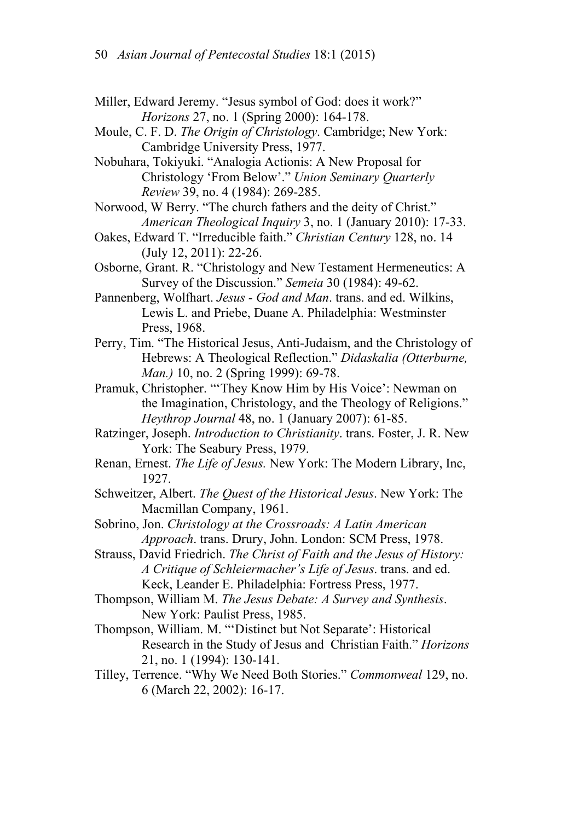- Miller, Edward Jeremy. "Jesus symbol of God: does it work?" *Horizons* 27, no. 1 (Spring 2000): 164-178.
- Moule, C. F. D. *The Origin of Christology*. Cambridge; New York: Cambridge University Press, 1977.
- Nobuhara, Tokiyuki. "Analogia Actionis: A New Proposal for Christology 'From Below'." *Union Seminary Quarterly Review* 39, no. 4 (1984): 269-285.
- Norwood, W Berry. "The church fathers and the deity of Christ." *American Theological Inquiry* 3, no. 1 (January 2010): 17-33.
- Oakes, Edward T. "Irreducible faith." *Christian Century* 128, no. 14 (July 12, 2011): 22-26.
- Osborne, Grant. R. "Christology and New Testament Hermeneutics: A Survey of the Discussion." *Semeia* 30 (1984): 49-62.
- Pannenberg, Wolfhart. *Jesus God and Man*. trans. and ed. Wilkins, Lewis L. and Priebe, Duane A. Philadelphia: Westminster Press, 1968.
- Perry, Tim. "The Historical Jesus, Anti-Judaism, and the Christology of Hebrews: A Theological Reflection." *Didaskalia (Otterburne, Man.)* 10, no. 2 (Spring 1999): 69-78.
- Pramuk, Christopher. "'They Know Him by His Voice': Newman on the Imagination, Christology, and the Theology of Religions." *Heythrop Journal* 48, no. 1 (January 2007): 61-85.
- Ratzinger, Joseph. *Introduction to Christianity*. trans. Foster, J. R. New York: The Seabury Press, 1979.
- Renan, Ernest. *The Life of Jesus.* New York: The Modern Library, Inc, 1927.
- Schweitzer, Albert. *The Quest of the Historical Jesus*. New York: The Macmillan Company, 1961.
- Sobrino, Jon. *Christology at the Crossroads: A Latin American Approach*. trans. Drury, John. London: SCM Press, 1978.
- Strauss, David Friedrich. *The Christ of Faith and the Jesus of History: A Critique of Schleiermacher's Life of Jesus*. trans. and ed. Keck, Leander E. Philadelphia: Fortress Press, 1977.
- Thompson, William M. *The Jesus Debate: A Survey and Synthesis*. New York: Paulist Press, 1985.
- Thompson, William. M. "'Distinct but Not Separate': Historical Research in the Study of Jesus and Christian Faith." *Horizons* 21, no. 1 (1994): 130-141.
- Tilley, Terrence. "Why We Need Both Stories." *Commonweal* 129, no. 6 (March 22, 2002): 16-17.